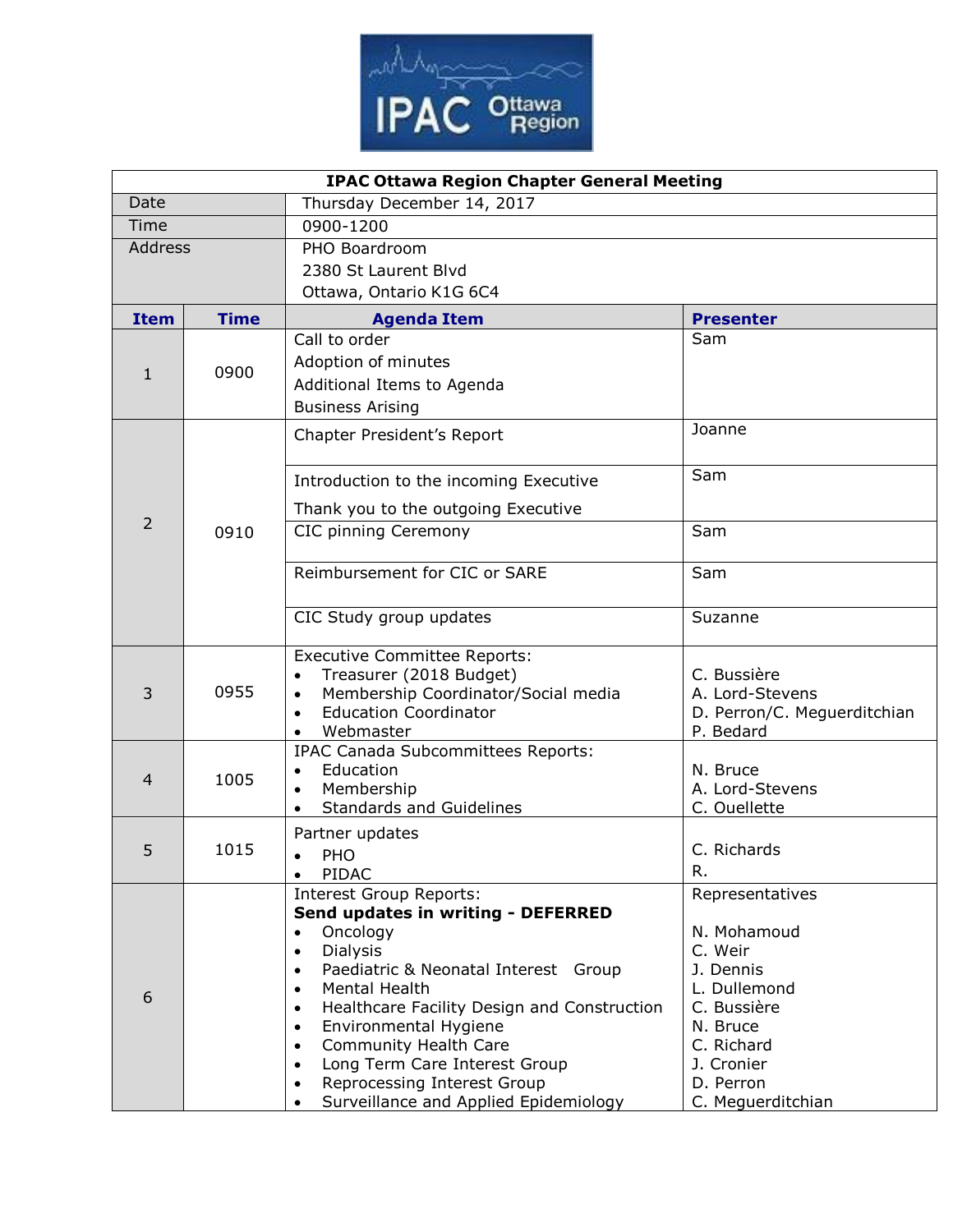

| <b>IPAC Ottawa Region Chapter General Meeting</b> |             |                                                                             |                                |  |  |  |
|---------------------------------------------------|-------------|-----------------------------------------------------------------------------|--------------------------------|--|--|--|
| Date                                              |             | Thursday December 14, 2017                                                  |                                |  |  |  |
| Time                                              |             | 0900-1200                                                                   |                                |  |  |  |
| <b>Address</b>                                    |             | PHO Boardroom                                                               |                                |  |  |  |
|                                                   |             | 2380 St Laurent Blvd                                                        |                                |  |  |  |
|                                                   |             | Ottawa, Ontario K1G 6C4                                                     |                                |  |  |  |
| <b>Item</b>                                       | <b>Time</b> | <b>Agenda Item</b>                                                          | <b>Presenter</b>               |  |  |  |
| $\mathbf{1}$                                      | 0900        | Call to order                                                               | Sam                            |  |  |  |
|                                                   |             | Adoption of minutes                                                         |                                |  |  |  |
|                                                   |             | Additional Items to Agenda                                                  |                                |  |  |  |
|                                                   |             | <b>Business Arising</b>                                                     |                                |  |  |  |
|                                                   | 0910        | Chapter President's Report                                                  | Joanne                         |  |  |  |
| $\overline{2}$                                    |             |                                                                             |                                |  |  |  |
|                                                   |             | Introduction to the incoming Executive                                      | Sam                            |  |  |  |
|                                                   |             | Thank you to the outgoing Executive                                         |                                |  |  |  |
|                                                   |             | CIC pinning Ceremony                                                        | Sam                            |  |  |  |
|                                                   |             |                                                                             |                                |  |  |  |
|                                                   |             | Reimbursement for CIC or SARE                                               | Sam                            |  |  |  |
|                                                   |             |                                                                             |                                |  |  |  |
|                                                   |             | CIC Study group updates                                                     | Suzanne                        |  |  |  |
|                                                   |             |                                                                             |                                |  |  |  |
|                                                   | 0955        | <b>Executive Committee Reports:</b>                                         |                                |  |  |  |
| 3                                                 |             | Treasurer (2018 Budget)<br>Membership Coordinator/Social media<br>$\bullet$ | C. Bussière<br>A. Lord-Stevens |  |  |  |
|                                                   |             | <b>Education Coordinator</b><br>$\bullet$                                   | D. Perron/C. Meguerditchian    |  |  |  |
|                                                   |             | Webmaster                                                                   | P. Bedard                      |  |  |  |
|                                                   |             | IPAC Canada Subcommittees Reports:                                          |                                |  |  |  |
| $\overline{4}$                                    | 1005        | Education<br>$\bullet$                                                      | N. Bruce                       |  |  |  |
|                                                   |             | Membership<br>$\bullet$                                                     | A. Lord-Stevens                |  |  |  |
|                                                   |             | <b>Standards and Guidelines</b><br>$\bullet$                                | C. Ouellette                   |  |  |  |
| 5                                                 | 1015        | Partner updates                                                             | C. Richards                    |  |  |  |
|                                                   |             | PHO                                                                         | R.                             |  |  |  |
|                                                   |             | PIDAC<br>$\bullet$                                                          |                                |  |  |  |
|                                                   |             | <b>Interest Group Reports:</b><br>Send updates in writing - DEFERRED        | Representatives                |  |  |  |
|                                                   |             | Oncology<br>$\bullet$                                                       | N. Mohamoud                    |  |  |  |
|                                                   |             | <b>Dialysis</b><br>$\bullet$                                                | C. Weir                        |  |  |  |
| 6                                                 |             | Paediatric & Neonatal Interest Group<br>$\bullet$                           | J. Dennis                      |  |  |  |
|                                                   |             | Mental Health<br>$\bullet$                                                  | L. Dullemond                   |  |  |  |
|                                                   |             | Healthcare Facility Design and Construction<br>$\bullet$                    | C. Bussière                    |  |  |  |
|                                                   |             | Environmental Hygiene<br>$\bullet$                                          | N. Bruce                       |  |  |  |
|                                                   |             | <b>Community Health Care</b><br>$\bullet$<br>Long Term Care Interest Group  | C. Richard<br>J. Cronier       |  |  |  |
|                                                   |             | Reprocessing Interest Group<br>$\bullet$                                    | D. Perron                      |  |  |  |
|                                                   |             | Surveillance and Applied Epidemiology                                       | C. Meguerditchian              |  |  |  |